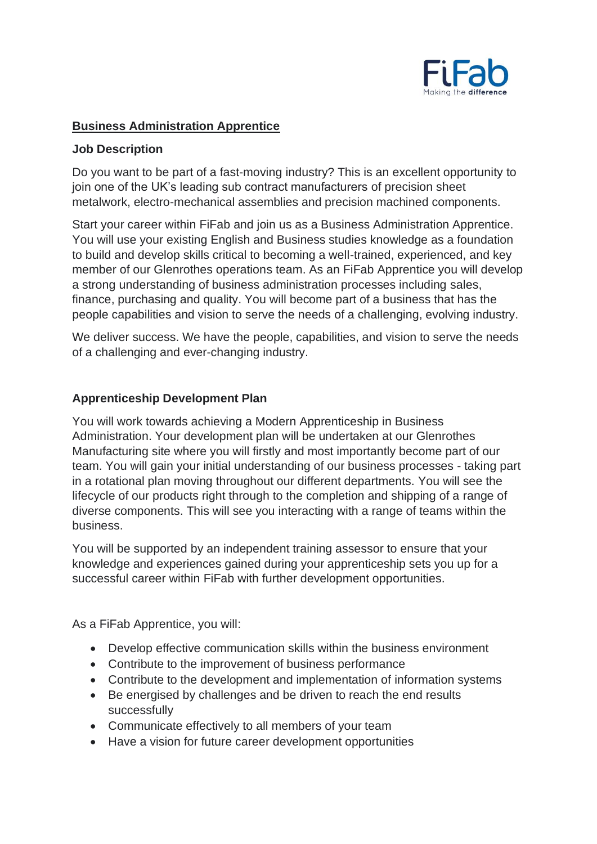

## **Business Administration Apprentice**

### **Job Description**

Do you want to be part of a fast-moving industry? This is an excellent opportunity to join one of the UK's leading sub contract manufacturers of precision sheet metalwork, electro-mechanical assemblies and precision machined components.

Start your career within FiFab and join us as a Business Administration Apprentice. You will use your existing English and Business studies knowledge as a foundation to build and develop skills critical to becoming a well-trained, experienced, and key member of our Glenrothes operations team. As an FiFab Apprentice you will develop a strong understanding of business administration processes including sales, finance, purchasing and quality. You will become part of a business that has the people capabilities and vision to serve the needs of a challenging, evolving industry.

We deliver success. We have the people, capabilities, and vision to serve the needs of a challenging and ever-changing industry.

### **Apprenticeship Development Plan**

You will work towards achieving a Modern Apprenticeship in Business Administration. Your development plan will be undertaken at our Glenrothes Manufacturing site where you will firstly and most importantly become part of our team. You will gain your initial understanding of our business processes - taking part in a rotational plan moving throughout our different departments. You will see the lifecycle of our products right through to the completion and shipping of a range of diverse components. This will see you interacting with a range of teams within the business.

You will be supported by an independent training assessor to ensure that your knowledge and experiences gained during your apprenticeship sets you up for a successful career within FiFab with further development opportunities.

As a FiFab Apprentice, you will:

- Develop effective communication skills within the business environment
- Contribute to the improvement of business performance
- Contribute to the development and implementation of information systems
- Be energised by challenges and be driven to reach the end results successfully
- Communicate effectively to all members of your team
- Have a vision for future career development opportunities